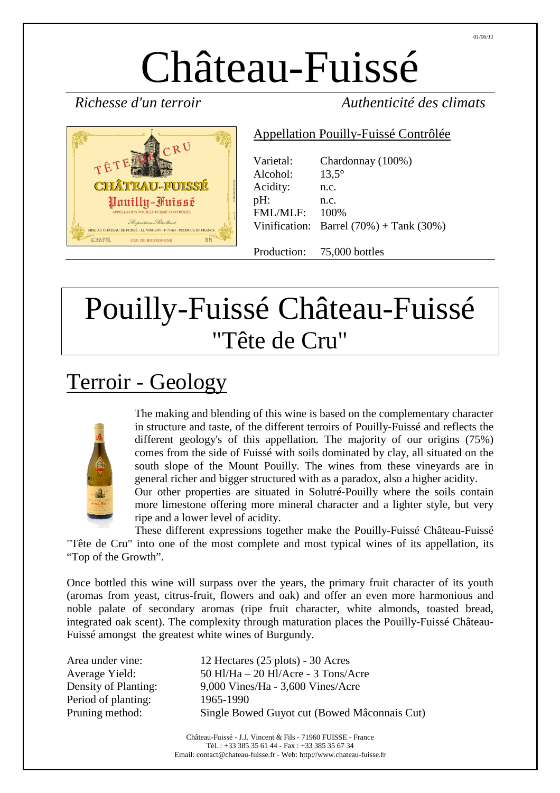# Château-Fuissé

 $CRU$ **CHÂTRAU-FUISSÉ** Pouilly-Fuissé MISE AU CHÂTEAU DE FUISSÉ - J.J. VINCENT - F 71960 - PRODUCE OF FRANCE ALC.13.5% BY VOL. CRU DE BOURGOGNE  $750$  MI

*Richesse d'un terroir Authenticité des climats* 

#### Appellation Pouilly-Fuissé Contrôlée

| Varietal:       | Chardonnay (100%)                                 |
|-----------------|---------------------------------------------------|
| Alcohol:        | $13.5^\circ$                                      |
| Acidity:        | n.c.                                              |
| pH:             | n.c.                                              |
| <b>FML/MLF:</b> | 100\%                                             |
|                 | Vinification: Barrel $(70%) + \text{Tank } (30%)$ |

Production: 75,000 bottles

## Pouilly-Fuissé Château-Fuissé "Tête de Cru"

## Terroir - Geology



The making and blending of this wine is based on the complementary character in structure and taste, of the different terroirs of Pouilly-Fuissé and reflects the different geology's of this appellation. The majority of our origins (75%) comes from the side of Fuissé with soils dominated by clay, all situated on the south slope of the Mount Pouilly. The wines from these vineyards are in general richer and bigger structured with as a paradox, also a higher acidity.

Our other properties are situated in Solutré-Pouilly where the soils contain more limestone offering more mineral character and a lighter style, but very ripe and a lower level of acidity.

These different expressions together make the Pouilly-Fuissé Château-Fuissé "Tête de Cru" into one of the most complete and most typical wines of its appellation, its "Top of the Growth".

Once bottled this wine will surpass over the years, the primary fruit character of its youth (aromas from yeast, citrus-fruit, flowers and oak) and offer an even more harmonious and noble palate of secondary aromas (ripe fruit character, white almonds, toasted bread, integrated oak scent). The complexity through maturation places the Pouilly-Fuissé Château-Fuissé amongst the greatest white wines of Burgundy.

| Area under vine:     |
|----------------------|
| Average Yield:       |
| Density of Planting: |
| Period of planting:  |
| Pruning method:      |

 $12$  Hectares (25 plots) - 30 Acres  $50$  Hl/Ha – 20 Hl/Acre - 3 Tons/Acre  $9,000$  Vines/Ha - 3,600 Vines/Acre 1965-1990 Single Bowed Guyot cut (Bowed Mâconnais Cut)